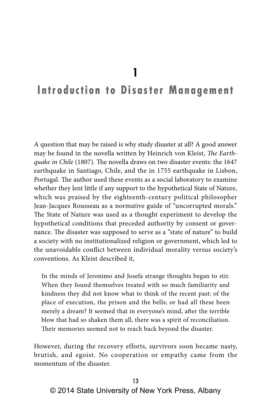**1**

# **Introduction to Disaster Management**

A question that may be raised is why study disaster at all? A good answer may be found in the novella written by Heinrich von Kleist, *The Earthquake in Chile* (1807). The novella draws on two disaster events: the 1647 earthquake in Santiago, Chile, and the in 1755 earthquake in Lisbon, Portugal. The author used these events as a social laboratory to examine whether they lent little if any support to the hypothetical State of Nature, which was praised by the eighteenth-century political philosopher Jean-Jacques Rousseau as a normative guide of "uncorrupted morals." The State of Nature was used as a thought experiment to develop the hypothetical conditions that preceded authority by consent or governance. The disaster was supposed to serve as a "state of nature" to build a society with no institutionalized religion or government, which led to the unavoidable conflict between individual morality versus society's conventions. As Kleist described it,

In the minds of Jeronimo and Josefa strange thoughts began to stir. When they found themselves treated with so much familiarity and kindness they did not know what to think of the recent past: of the place of execution, the prison and the bells; or had all these been merely a dream? It seemed that in everyone's mind, after the terrible blow that had so shaken them all, there was a spirit of reconciliation. Their memories seemed not to reach back beyond the disaster.

However, during the recovery efforts, survivors soon became nasty, brutish, and egoist. No cooperation or empathy came from the momentum of the disaster.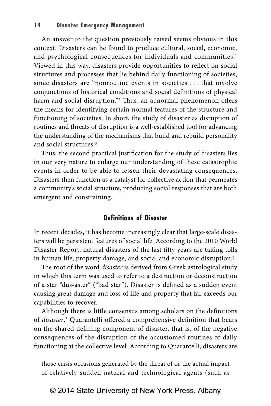#### **14 Disaster Emergency Management**

An answer to the question previously raised seems obvious in this context. Disasters can be found to produce cultural, social, economic, and psychological consequences for individuals and communities.<sup>1</sup> Viewed in this way, disasters provide opportunities to reflect on social structures and processes that lie behind daily functioning of societies, since disasters are "nonroutine events in societies . . . that involve conjunctions of historical conditions and social definitions of physical harm and social disruption."<sup>2</sup> Thus, an abnormal phenomenon offers the means for identifying certain normal features of the structure and functioning of societies. In short, the study of disaster as disruption of routines and threats of disruption is a well-established tool for advancing the understanding of the mechanisms that build and rebuild personality and social structures.3

Thus, the second practical justification for the study of disasters lies in our very nature to enlarge our understanding of these catastrophic events in order to be able to lessen their devastating consequences. Disasters then function as a catalyst for collective action that permeates a community's social structure, producing social responses that are both emergent and constraining.

#### **Definitions of Disaster**

In recent decades, it has become increasingly clear that large-scale disasters will be persistent features of social life. According to the 2010 World Disaster Report, natural disasters of the last fifty years are taking tolls in human life, property damage, and social and economic disruption.4

The root of the word *disaster* is derived from Greek astrological study in which this term was used to refer to a destruction or deconstruction of a star "dus-aster" ("bad star"). Disaster is defined as a sudden event causing great damage and loss of life and property that far exceeds our capabilities to recover.

Although there is little consensus among scholars on the definitions of *disaster*, 5 Quarantelli offered a comprehensive definition that bears on the shared defining component of disaster, that is, of the negative consequences of the disruption of the accustomed routines of daily functioning at the collective level. According to Quarantelli, disasters are

those crisis occasions generated by the threat of or the actual impact of relatively sudden natural and technological agents (such as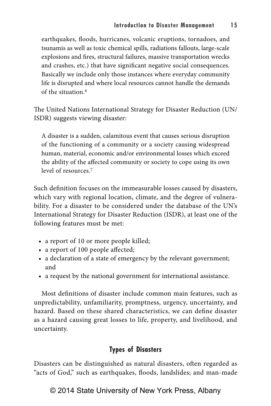earthquakes, floods, hurricanes, volcanic eruptions, tornadoes, and tsunamis as well as toxic chemical spills, radiations fallouts, large-scale explosions and fires, structural failures, massive transportation wrecks and crashes, etc.) that have significant negative social consequences. Basically we include only those instances where everyday community life is disrupted and where local resources cannot handle the demands of the situation.6

The United Nations International Strategy for Disaster Reduction (UN/ ISDR) suggests viewing disaster:

A disaster is a sudden, calamitous event that causes serious disruption of the functioning of a community or a society causing widespread human, material, economic and/or environmental losses which exceed the ability of the affected community or society to cope using its own level of resources.7

Such definition focuses on the immeasurable losses caused by disasters, which vary with regional location, climate, and the degree of vulnerability. For a disaster to be considered under the database of the UN's International Strategy for Disaster Reduction (ISDR), at least one of the following features must be met:

- a report of 10 or more people killed;
- a report of 100 people affected;
- a declaration of a state of emergency by the relevant government; and
- a request by the national government for international assistance.

Most definitions of disaster include common main features, such as unpredictability, unfamiliarity, promptness, urgency, uncertainty, and hazard. Based on these shared characteristics, we can define disaster as a hazard causing great losses to life, property, and livelihood, and uncertainty.

# **Types of Disasters**

Disasters can be distinguished as natural disasters, often regarded as "acts of God," such as earthquakes, floods, landslides; and man-made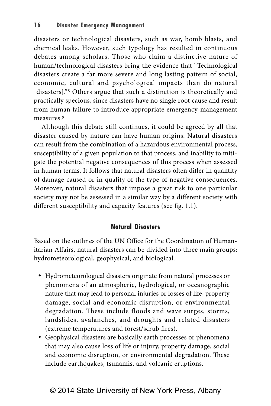disasters or technological disasters, such as war, bomb blasts, and chemical leaks. However, such typology has resulted in continuous debates among scholars. Those who claim a distinctive nature of human/technological disasters bring the evidence that "Technological disasters create a far more severe and long lasting pattern of social, economic, cultural and psychological impacts than do natural [disasters]."<sup>8</sup> Others argue that such a distinction is theoretically and practically specious, since disasters have no single root cause and result from human failure to introduce appropriate emergency-management measures.9

Although this debate still continues, it could be agreed by all that disaster caused by nature can have human origins. Natural disasters can result from the combination of a hazardous environmental process, susceptibility of a given population to that process, and inability to mitigate the potential negative consequences of this process when assessed in human terms. It follows that natural disasters often differ in quantity of damage caused or in quality of the type of negative consequences. Moreover, natural disasters that impose a great risk to one particular society may not be assessed in a similar way by a different society with different susceptibility and capacity features (see fig. 1.1).

# **Natural Disasters**

Based on the outlines of the UN Office for the Coordination of Humanitarian Affairs, natural disasters can be divided into three main groups: hydrometeorological, geophysical, and biological.

- Hydrometeorological disasters originate from natural processes or phenomena of an atmospheric, hydrological, or oceanographic nature that may lead to personal injuries or losses of life, property damage, social and economic disruption, or environmental degradation. These include floods and wave surges, storms, landslides, avalanches, and droughts and related disasters (extreme temperatures and forest/scrub fires).
- • Geophysical disasters are basically earth processes or phenomena that may also cause loss of life or injury, property damage, social and economic disruption, or environmental degradation. These include earthquakes, tsunamis, and volcanic eruptions.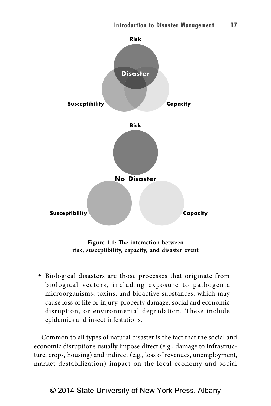

**Figure 1.1: The interaction between risk, susceptibility, capacity, and disaster event**

 • Biological disasters are those processes that originate from biological vectors, including exposure to pathogenic microorganisms, toxins, and bioactive substances, which may cause loss of life or injury, property damage, social and economic disruption, or environmental degradation. These include epidemics and insect infestations.

Common to all types of natural disaster is the fact that the social and economic disruptions usually impose direct (e.g., damage to infrastructure, crops, housing) and indirect (e.g., loss of revenues, unemployment, market destabilization) impact on the local economy and social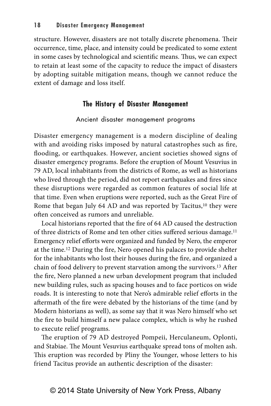structure. However, disasters are not totally discrete phenomena. Their occurrence, time, place, and intensity could be predicated to some extent in some cases by technological and scientific means. Thus, we can expect to retain at least some of the capacity to reduce the impact of disasters by adopting suitable mitigation means, though we cannot reduce the extent of damage and loss itself.

# **The History of Disaster Management**

#### Ancient disaster management programs

Disaster emergency management is a modern discipline of dealing with and avoiding risks imposed by natural catastrophes such as fire, flooding, or earthquakes. However, ancient societies showed signs of disaster emergency programs. Before the eruption of Mount Vesuvius in 79 AD, local inhabitants from the districts of Rome, as well as historians who lived through the period, did not report earthquakes and fires since these disruptions were regarded as common features of social life at that time. Even when eruptions were reported, such as the Great Fire of Rome that began July 64 AD and was reported by Tacitus,<sup>10</sup> they were often conceived as rumors and unreliable.

Local historians reported that the fire of 64 AD caused the destruction of three districts of Rome and ten other cities suffered serious damage.<sup>11</sup> Emergency relief efforts were organized and funded by Nero, the emperor at the time.<sup>12</sup> During the fire, Nero opened his palaces to provide shelter for the inhabitants who lost their houses during the fire, and organized a chain of food delivery to prevent starvation among the survivors.<sup>13</sup> After the fire, Nero planned a new urban development program that included new building rules, such as spacing houses and to face porticos on wide roads. It is interesting to note that Nero's admirable relief efforts in the aftermath of the fire were debated by the historians of the time (and by Modern historians as well), as some say that it was Nero himself who set the fire to build himself a new palace complex, which is why he rushed to execute relief programs.

The eruption of 79 AD destroyed Pompeii, Herculaneum, Oplonti, and Stabiae. The Mount Vesuvius earthquake spread tons of molten ash. This eruption was recorded by Pliny the Younger, whose letters to his friend Tacitus provide an authentic description of the disaster: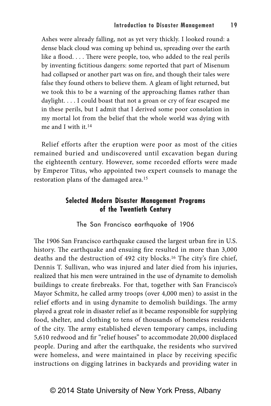Ashes were already falling, not as yet very thickly. I looked round: a dense black cloud was coming up behind us, spreading over the earth like a flood. . . . There were people, too, who added to the real perils by inventing fictitious dangers: some reported that part of Misenum had collapsed or another part was on fire, and though their tales were false they found others to believe them. A gleam of light returned, but we took this to be a warning of the approaching flames rather than daylight. . . . I could boast that not a groan or cry of fear escaped me in these perils, but I admit that I derived some poor consolation in my mortal lot from the belief that the whole world was dying with me and I with it.<sup>14</sup>

Relief efforts after the eruption were poor as most of the cities remained buried and undiscovered until excavation began during the eighteenth century. However, some recorded efforts were made by Emperor Titus, who appointed two expert counsels to manage the restoration plans of the damaged area.<sup>15</sup>

# **Selected Modern Disaster Management Programs of the Twentieth Century**

The San Francisco earthquake of 1906

The 1906 San Francisco earthquake caused the largest urban fire in U.S. history. The earthquake and ensuing fire resulted in more than 3,000 deaths and the destruction of 492 city blocks.16 The city's fire chief, Dennis T. Sullivan, who was injured and later died from his injuries, realized that his men were untrained in the use of dynamite to demolish buildings to create firebreaks. For that, together with San Francisco's Mayor Schmitz, he called army troops (over 4,000 men) to assist in the relief efforts and in using dynamite to demolish buildings. The army played a great role in disaster relief as it became responsible for supplying food, shelter, and clothing to tens of thousands of homeless residents of the city. The army established eleven temporary camps, including 5,610 redwood and fir "relief houses" to accommodate 20,000 displaced people. During and after the earthquake, the residents who survived were homeless, and were maintained in place by receiving specific instructions on digging latrines in backyards and providing water in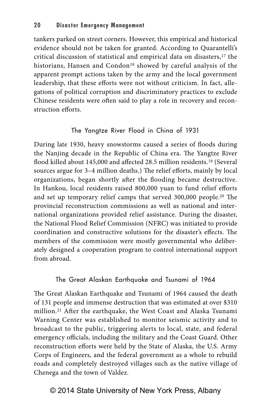tankers parked on street corners. However, this empirical and historical evidence should not be taken for granted. According to Quarantelli's critical discussion of statistical and empirical data on disasters,<sup>17</sup> the historians, Hansen and Condon<sup>18</sup> showed by careful analysis of the apparent prompt actions taken by the army and the local government leadership, that these efforts were not without criticism. In fact, allegations of political corruption and discriminatory practices to exclude Chinese residents were often said to play a role in recovery and reconstruction efforts.

# The Yangtze River Flood in China of 1931

During late 1930, heavy snowstorms caused a series of floods during the Nanjing decade in the Republic of China era. The Yangtze River flood killed about 145,000 and affected 28.5 million residents.<sup>19</sup> (Several sources argue for 3–4 million deaths.) The relief efforts, mainly by local organizations, began shortly after the flooding became destructive. In Hankou, local residents raised 800,000 yuan to fund relief efforts and set up temporary relief camps that served 300,000 people.20 The provincial reconstruction commissions as well as national and international organizations provided relief assistance. During the disaster, the National Flood Relief Commission (NFRC) was initiated to provide coordination and constructive solutions for the disaster's effects. The members of the commission were mostly governmental who deliberately designed a cooperation program to control international support from abroad.

### The Great Alaskan Earthquake and Tsunami of 1964

The Great Alaskan Earthquake and Tsunami of 1964 caused the death of 131 people and immense destruction that was estimated at over \$310 million.21 After the earthquake, the West Coast and Alaska Tsunami Warning Center was established to monitor seismic activity and to broadcast to the public, triggering alerts to local, state, and federal emergency officials, including the military and the Coast Guard. Other reconstruction efforts were held by the State of Alaska, the U.S. Army Corps of Engineers, and the federal government as a whole to rebuild roads and completely destroyed villages such as the native village of Chenega and the town of Valdez.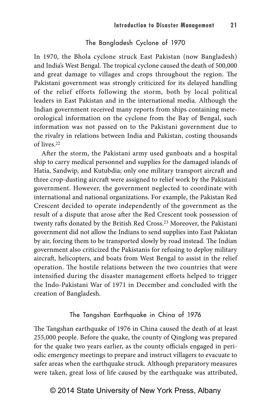#### The Bangladesh Cyclone of 1970

In 1970, the Bhola cyclone struck East Pakistan (now Bangladesh) and India's West Bengal. The tropical cyclone caused the death of 500,000 and great damage to villages and crops throughout the region. The Pakistani government was strongly criticized for its delayed handling of the relief efforts following the storm, both by local political leaders in East Pakistan and in the international media. Although the Indian government received many reports from ships containing meteorological information on the cyclone from the Bay of Bengal, such information was not passed on to the Pakistani government due to the rivalry in relations between India and Pakistan, costing thousands of lives.<sup>22</sup>

After the storm, the Pakistani army used gunboats and a hospital ship to carry medical personnel and supplies for the damaged islands of Hatia, Sandwip, and Kutubdia; only one military transport aircraft and three crop-dusting aircraft were assigned to relief work by the Pakistani government. However, the government neglected to coordinate with international and national organizations. For example, the Pakistan Red Crescent decided to operate independently of the government as the result of a dispute that arose after the Red Crescent took possession of twenty rafts donated by the British Red Cross. <sup>23</sup> Moreover, the Pakistani government did not allow the Indians to send supplies into East Pakistan by air, forcing them to be transported slowly by road instead. The Indian government also criticized the Pakistanis for refusing to deploy military aircraft, helicopters, and boats from West Bengal to assist in the relief operation. The hostile relations between the two countries that were intensified during the disaster management efforts helped to trigger the Indo-Pakistani War of 1971 in December and concluded with the creation of Bangladesh.

# The Tangshan Earthquake in China of 1976

The Tangshan earthquake of 1976 in China caused the death of at least 255,000 people. Before the quake, the county of Qinglong was prepared for the quake two years earlier, as the county officials engaged in periodic emergency meetings to prepare and instruct villagers to evacuate to safer areas when the earthquake struck. Although preparatory measures were taken, great loss of life caused by the earthquake was attributed,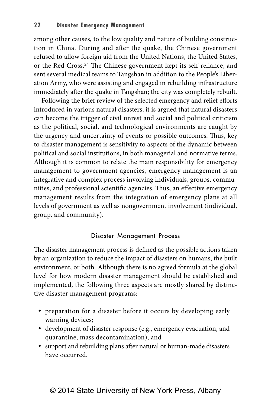among other causes, to the low quality and nature of building construction in China. During and after the quake, the Chinese government refused to allow foreign aid from the United Nations, the United States, or the Red Cross.<sup>24</sup> The Chinese government kept its self-reliance, and sent several medical teams to Tangshan in addition to the People's Liberation Army, who were assisting and engaged in rebuilding infrastructure immediately after the quake in Tangshan; the city was completely rebuilt.

Following the brief review of the selected emergency and relief efforts introduced in various natural disasters, it is argued that natural disasters can become the trigger of civil unrest and social and political criticism as the political, social, and technological environments are caught by the urgency and uncertainty of events or possible outcomes. Thus, key to disaster management is sensitivity to aspects of the dynamic between political and social institutions, in both managerial and normative terms. Although it is common to relate the main responsibility for emergency management to government agencies, emergency management is an integrative and complex process involving individuals, groups, communities, and professional scientific agencies. Thus, an effective emergency management results from the integration of emergency plans at all levels of government as well as nongovernment involvement (individual, group, and community).

# Disaster Management Process

The disaster management process is defined as the possible actions taken by an organization to reduce the impact of disasters on humans, the built environment, or both. Although there is no agreed formula at the global level for how modern disaster management should be established and implemented, the following three aspects are mostly shared by distinctive disaster management programs:

- preparation for a disaster before it occurs by developing early warning devices;
- • development of disaster response (e.g., emergency evacuation, and quarantine, mass decontamination); and
- support and rebuilding plans after natural or human-made disasters have occurred.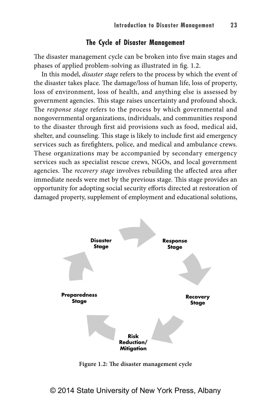# **The Cycle of Disaster Management**

The disaster management cycle can be broken into five main stages and phases of applied problem-solving as illustrated in fig. 1.2.

In this model, *disaster stage* refers to the process by which the event of the disaster takes place. The damage/loss of human life, loss of property, loss of environment, loss of health, and anything else is assessed by government agencies. This stage raises uncertainty and profound shock. The *response stage* refers to the process by which governmental and nongovernmental organizations, individuals, and communities respond to the disaster through first aid provisions such as food, medical aid, shelter, and counseling. This stage is likely to include first aid emergency services such as firefighters, police, and medical and ambulance crews. These organizations may be accompanied by secondary emergency services such as specialist rescue crews, NGOs, and local government agencies. The *recovery stage* involves rebuilding the affected area after immediate needs were met by the previous stage. This stage provides an opportunity for adopting social security efforts directed at restoration of damaged property, supplement of employment and educational solutions,



**Figure 1.2: The disaster management cycle**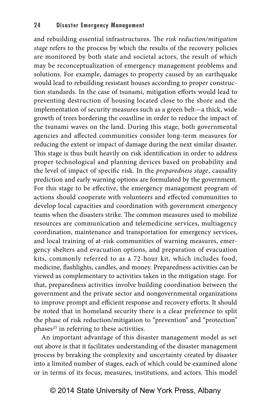and rebuilding essential infrastructures. The *risk reduction/mitigation stage* refers to the process by which the results of the recovery policies are monitored by both state and societal actors, the result of which may be reconceptualization of emergency management problems and solutions. For example, damages to property caused by an earthquake would lead to rebuilding resistant houses according to proper construction standards. In the case of tsunami, mitigation efforts would lead to preventing destruction of housing located close to the shore and the implementation of security measures such as a green belt—a thick, wide growth of trees bordering the coastline in order to reduce the impact of the tsunami waves on the land. During this stage, both governmental agencies and affected communities consider long-term measures for reducing the extent or impact of damage during the next similar disaster. This stage is thus built heavily on risk identification in order to address proper technological and planning devices based on probability and the level of impact of specific risk. In the *preparedness stage*, causality prediction and early warning options are formulated by the government. For this stage to be effective, the emergency management program of actions should cooperate with volunteers and effected communities to develop local capacities and coordination with government emergency teams when the disasters strike. The common measures used to mobilize resources are communication and telemedicine services, multiagency coordination, maintenance and transportation for emergency services, and local training of at-risk communities of warning measures, emergency shelters and evacuation options, and preparation of evacuation kits, commonly referred to as a 72-hour kit, which includes food, medicine, flashlights, candles, and money. Preparedness activities can be viewed as complementary to activities taken in the mitigation stage. For that, preparedness activities involve building coordination between the government and the private sector and nongovernmental organizations to improve prompt and efficient response and recovery efforts. It should be noted that in homeland security there is a clear preference to split the phase of risk reduction/mitigation to "prevention" and "protection" phases25 in referring to these activities.

An important advantage of this disaster management model as set out above is that it facilitates understanding of the disaster management process by breaking the complexity and uncertainty created by disaster into a limited number of stages, each of which could be examined alone or in terms of its focus, measures, institutions, and actors. This model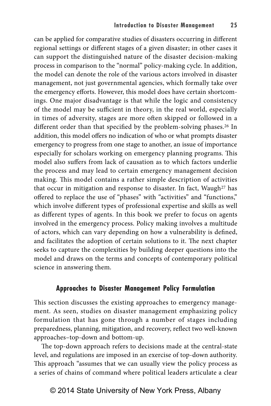can be applied for comparative studies of disasters occurring in different regional settings or different stages of a given disaster; in other cases it can support the distinguished nature of the disaster decision-making process in comparison to the "normal" policy-making cycle. In addition, the model can denote the role of the various actors involved in disaster management, not just governmental agencies, which formally take over the emergency efforts. However, this model does have certain shortcomings. One major disadvantage is that while the logic and consistency of the model may be sufficient in theory, in the real world, especially in times of adversity, stages are more often skipped or followed in a different order than that specified by the problem-solving phases.26 In addition, this model offers no indication of who or what prompts disaster emergency to progress from one stage to another, an issue of importance especially for scholars working on emergency planning programs. This model also suffers from lack of causation as to which factors underlie the process and may lead to certain emergency management decision making. This model contains a rather simple description of activities that occur in mitigation and response to disaster. In fact, Waugh<sup>27</sup> has offered to replace the use of "phases" with "activities" and "functions," which involve different types of professional expertise and skills as well as different types of agents. In this book we prefer to focus on agents involved in the emergency process. Policy making involves a multitude of actors, which can vary depending on how a vulnerability is defined, and facilitates the adoption of certain solutions to it. The next chapter seeks to capture the complexities by building deeper questions into the model and draws on the terms and concepts of contemporary political science in answering them.

# **Approaches to Disaster Management Policy Formulation**

This section discusses the existing approaches to emergency management. As seen, studies on disaster management emphasizing policy formulation that has gone through a number of stages including preparedness, planning, mitigation, and recovery, reflect two well-known approaches–top-down and bottom-up.

The top-down approach refers to decisions made at the central-state level, and regulations are imposed in an exercise of top-down authority. This approach "assumes that we can usually view the policy process as a series of chains of command where political leaders articulate a clear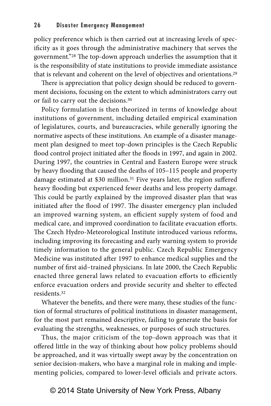policy preference which is then carried out at increasing levels of specificity as it goes through the administrative machinery that serves the government."28 The top-down approach underlies the assumption that it is the responsibility of state institutions to provide immediate assistance that is relevant and coherent on the level of objectives and orientations.29

There is appreciation that policy design should be reduced to government decisions, focusing on the extent to which administrators carry out or fail to carry out the decisions.30

Policy formulation is then theorized in terms of knowledge about institutions of government, including detailed empirical examination of legislatures, courts, and bureaucracies, while generally ignoring the normative aspects of these institutions. An example of a disaster management plan designed to meet top-down principles is the Czech Republic flood control project initiated after the floods in 1997, and again in 2002. During 1997, the countries in Central and Eastern Europe were struck by heavy flooding that caused the deaths of 105–115 people and property damage estimated at \$30 million.<sup>31</sup> Five years later, the region suffered heavy flooding but experienced fewer deaths and less property damage. This could be partly explained by the improved disaster plan that was initiated after the flood of 1997. The disaster emergency plan included an improved warning system, an efficient supply system of food and medical care, and improved coordination to facilitate evacuation efforts. The Czech Hydro-Meteorological Institute introduced various reforms, including improving its forecasting and early warning system to provide timely information to the general public. Czech Republic Emergency Medicine was instituted after 1997 to enhance medical supplies and the number of first aid–trained physicians. In late 2000, the Czech Republic enacted three general laws related to evacuation efforts to efficiently enforce evacuation orders and provide security and shelter to effected residents.32

Whatever the benefits, and there were many, these studies of the function of formal structures of political institutions in disaster management, for the most part remained descriptive, failing to generate the basis for evaluating the strengths, weaknesses, or purposes of such structures.

Thus, the major criticism of the top-down approach was that it offered little in the way of thinking about how policy problems should be approached, and it was virtually swept away by the concentration on senior decision-makers, who have a marginal role in making and implementing policies, compared to lower-level officials and private actors.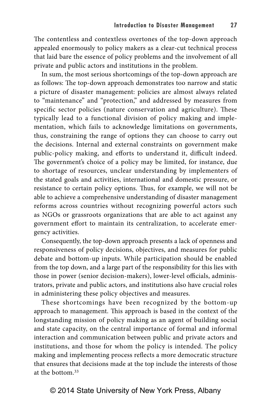The contentless and contextless overtones of the top-down approach appealed enormously to policy makers as a clear-cut technical process that laid bare the essence of policy problems and the involvement of all private and public actors and institutions in the problem.

In sum, the most serious shortcomings of the top-down approach are as follows: The top-down approach demonstrates too narrow and static a picture of disaster management: policies are almost always related to "maintenance" and "protection," and addressed by measures from specific sector policies (nature conservation and agriculture). These typically lead to a functional division of policy making and implementation, which fails to acknowledge limitations on governments, thus, constraining the range of options they can choose to carry out the decisions. Internal and external constraints on government make public-policy making, and efforts to understand it, difficult indeed. The government's choice of a policy may be limited, for instance, due to shortage of resources, unclear understanding by implementers of the stated goals and activities, international and domestic pressure, or resistance to certain policy options. Thus, for example, we will not be able to achieve a comprehensive understanding of disaster management reforms across countries without recognizing powerful actors such as NGOs or grassroots organizations that are able to act against any government effort to maintain its centralization, to accelerate emergency activities.

Consequently, the top-down approach presents a lack of openness and responsiveness of policy decisions, objectives, and measures for public debate and bottom-up inputs. While participation should be enabled from the top down, and a large part of the responsibility for this lies with those in power (senior decision-makers), lower-level officials, administrators, private and public actors, and institutions also have crucial roles in administering these policy objectives and measures.

These shortcomings have been recognized by the bottom-up approach to management. This approach is based in the context of the longstanding mission of policy making as an agent of building social and state capacity, on the central importance of formal and informal interaction and communication between public and private actors and institutions, and those for whom the policy is intended. The policy making and implementing process reflects a more democratic structure that ensures that decisions made at the top include the interests of those at the bottom <sup>33</sup>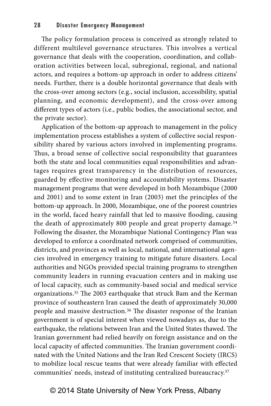The policy formulation process is conceived as strongly related to different multilevel governance structures. This involves a vertical governance that deals with the cooperation, coordination, and collaboration activities between local, subregional, regional, and national actors, and requires a bottom-up approach in order to address citizens' needs. Further, there is a double horizontal governance that deals with the cross-over among sectors (e.g., social inclusion, accessibility, spatial planning, and economic development), and the cross-over among different types of actors (i.e., public bodies, the associational sector, and the private sector).

Application of the bottom-up approach to management in the policy implementation process establishes a system of collective social responsibility shared by various actors involved in implementing programs. Thus, a broad sense of collective social responsibility that guarantees both the state and local communities equal responsibilities and advantages requires great transparency in the distribution of resources, guarded by effective monitoring and accountability systems. Disaster management programs that were developed in both Mozambique (2000 and 2001) and to some extent in Iran (2003) met the principles of the bottom-up approach. In 2000, Mozambique, one of the poorest countries in the world, faced heavy rainfall that led to massive flooding, causing the death of approximately 800 people and great property damage.34 Following the disaster, the Mozambique National Contingency Plan was developed to enforce a coordinated network comprised of communities, districts, and provinces as well as local, national, and international agencies involved in emergency training to mitigate future disasters. Local authorities and NGOs provided special training programs to strengthen community leaders in running evacuation centers and in making use of local capacity, such as community-based social and medical service organizations.35 The 2003 earthquake that struck Bam and the Kerman province of southeastern Iran caused the death of approximately 30,000 people and massive destruction.36 The disaster response of the Iranian government is of special interest when viewed nowadays as, due to the earthquake, the relations between Iran and the United States thawed. The Iranian government had relied heavily on foreign assistance and on the local capacity of affected communities. The Iranian government coordinated with the United Nations and the Iran Red Crescent Society (IRCS) to mobilize local rescue teams that were already familiar with effected communities' needs, instead of instituting centralized bureaucracy.37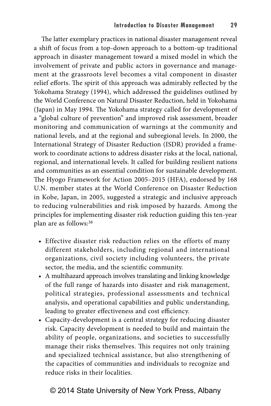The latter exemplary practices in national disaster management reveal a shift of focus from a top-down approach to a bottom-up traditional approach in disaster management toward a mixed model in which the involvement of private and public actors in governance and management at the grassroots level becomes a vital component in disaster relief efforts. The spirit of this approach was admirably reflected by the Yokohama Strategy (1994), which addressed the guidelines outlined by the World Conference on Natural Disaster Reduction, held in Yokohama (Japan) in May 1994. The Yokohama strategy called for development of a "global culture of prevention" and improved risk assessment, broader monitoring and communication of warnings at the community and national levels, and at the regional and subregional levels. In 2000, the International Strategy of Disaster Reduction (ISDR) provided a framework to coordinate actions to address disaster risks at the local, national, regional, and international levels. It called for building resilient nations and communities as an essential condition for sustainable development. The Hyogo Framework for Action 2005–2015 (HFA), endorsed by 168 U.N. member states at the World Conference on Disaster Reduction in Kobe, Japan, in 2005, suggested a strategic and inclusive approach to reducing vulnerabilities and risk imposed by hazards. Among the principles for implementing disaster risk reduction guiding this ten-year plan are as follows:38

- Effective disaster risk reduction relies on the efforts of many different stakeholders, including regional and international organizations, civil society including volunteers, the private sector, the media, and the scientific community.
- A multihazard approach involves translating and linking knowledge of the full range of hazards into disaster and risk management, political strategies, professional assessments and technical analysis, and operational capabilities and public understanding, leading to greater effectiveness and cost efficiency.
- Capacity-development is a central strategy for reducing disaster risk. Capacity development is needed to build and maintain the ability of people, organizations, and societies to successfully manage their risks themselves. This requires not only training and specialized technical assistance, but also strengthening of the capacities of communities and individuals to recognize and reduce risks in their localities.